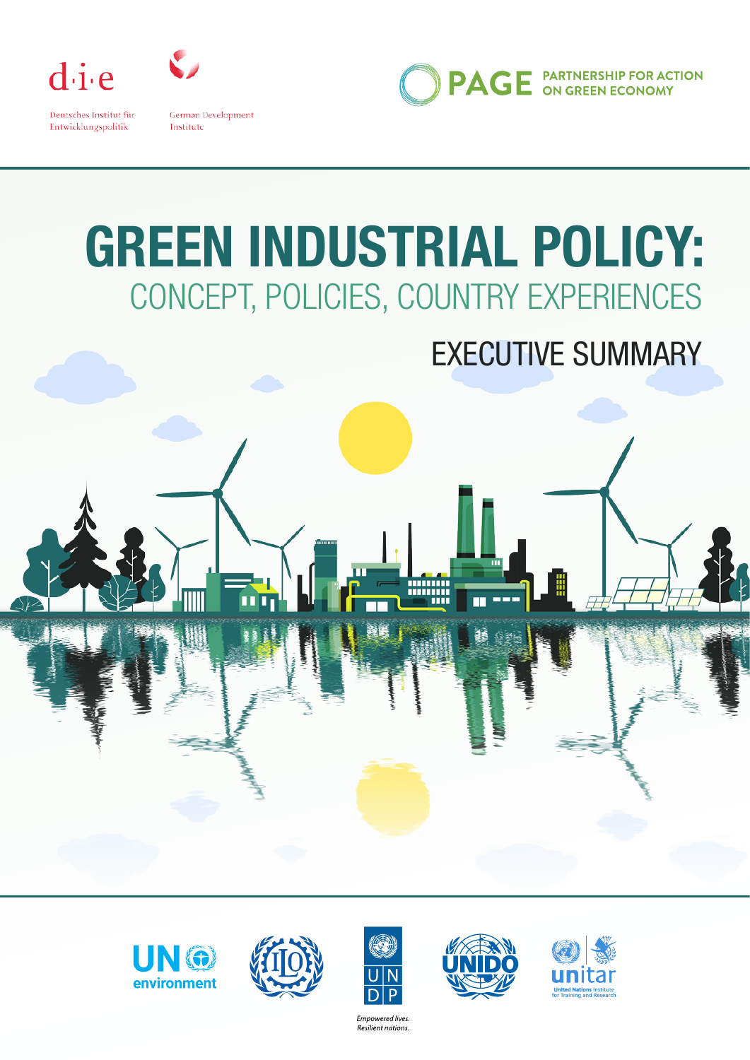

Deutsches Institut für Entwicklungspolitik

German Development Institute

**PAGE** PARTNERSHIP FOR ACTION

# **GREEN INDUSTRIAL POLICY:**  CONCEPT, POLICIES, COUNTRY EXPERIENCES

## EXECUTIVE SUMMARY







Empowered lives. Resilient nations.



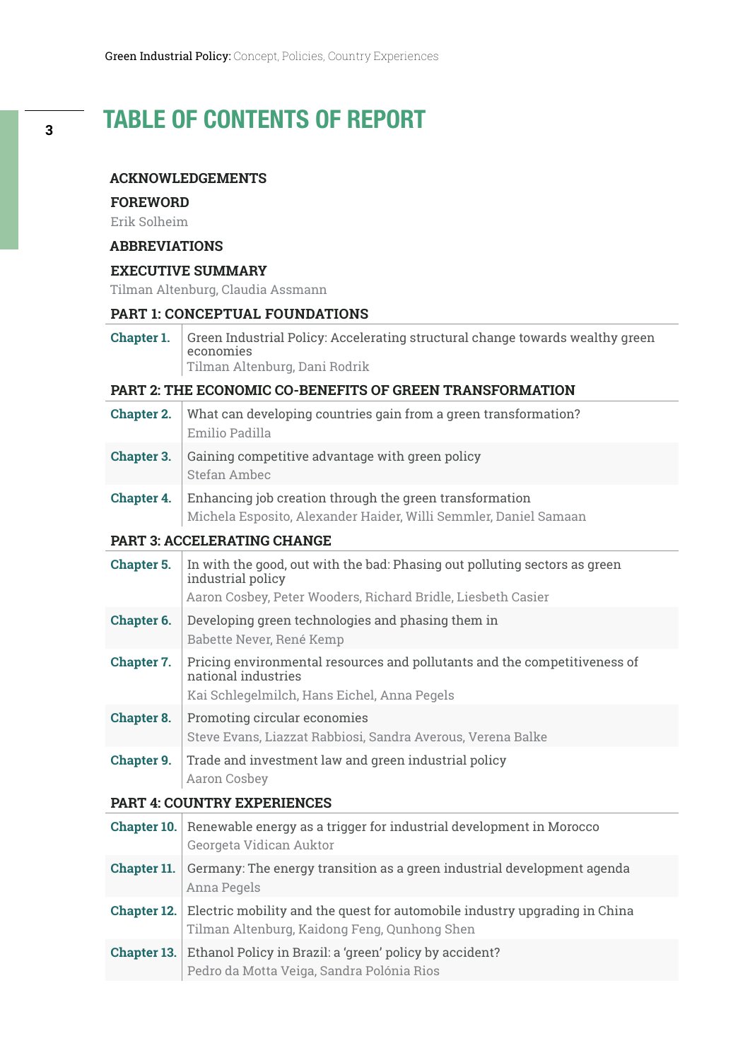## TABLE OF CONTENTS OF REPORT

#### **ACKNOWLEDGEMENTS**

#### **FOREWORD**

Erik Solheim

#### **ABBREVIATIONS**

#### **EXECUTIVE SUMMARY**

Tilman Altenburg, Claudia Assmann

#### **PART 1: CONCEPTUAL FOUNDATIONS**

**Chapter 1.** Green Industrial Policy: Accelerating structural change towards wealthy green economies Tilman Altenburg, Dani Rodrik

#### **PART 2: THE ECONOMIC CO-BENEFITS OF GREEN TRANSFORMATION**

- **Chapter 2.** What can developing countries gain from a green transformation? Emilio Padilla **Chapter 3.** Gaining competitive advantage with green policy Stefan Ambec
- **Chapter 4.** Enhancing job creation through the green transformation Michela Esposito, Alexander Haider, Willi Semmler, Daniel Samaan

#### **PART 3: ACCELERATING CHANGE**

| Chapter 5.        | In with the good, out with the bad: Phasing out polluting sectors as green<br>industrial policy<br>Aaron Cosbey, Peter Wooders, Richard Bridle, Liesbeth Casier |
|-------------------|-----------------------------------------------------------------------------------------------------------------------------------------------------------------|
| Chapter 6.        | Developing green technologies and phasing them in<br>Babette Never, René Kemp                                                                                   |
| Chapter 7.        | Pricing environmental resources and pollutants and the competitiveness of<br>national industries<br>Kai Schlegelmilch, Hans Eichel, Anna Pegels                 |
| <b>Chapter 8.</b> | Promoting circular economies<br>Steve Evans, Liazzat Rabbiosi, Sandra Averous, Verena Balke                                                                     |
| Chapter 9.        | Trade and investment law and green industrial policy<br>Aaron Cosbey                                                                                            |

#### **PART 4: COUNTRY EXPERIENCES**

|                    | <b>Chapter 10.</b> Renewable energy as a trigger for industrial development in Morocco<br>Georgeta Vidican Auktor                             |
|--------------------|-----------------------------------------------------------------------------------------------------------------------------------------------|
| Chapter 11.        | Germany: The energy transition as a green industrial development agenda<br>Anna Pegels                                                        |
|                    | <b>Chapter 12.</b> Electric mobility and the quest for automobile industry upgrading in China<br>Tilman Altenburg, Kaidong Feng, Qunhong Shen |
| <b>Chapter 13.</b> | Ethanol Policy in Brazil: a 'green' policy by accident?<br>Pedro da Motta Veiga, Sandra Polónia Rios                                          |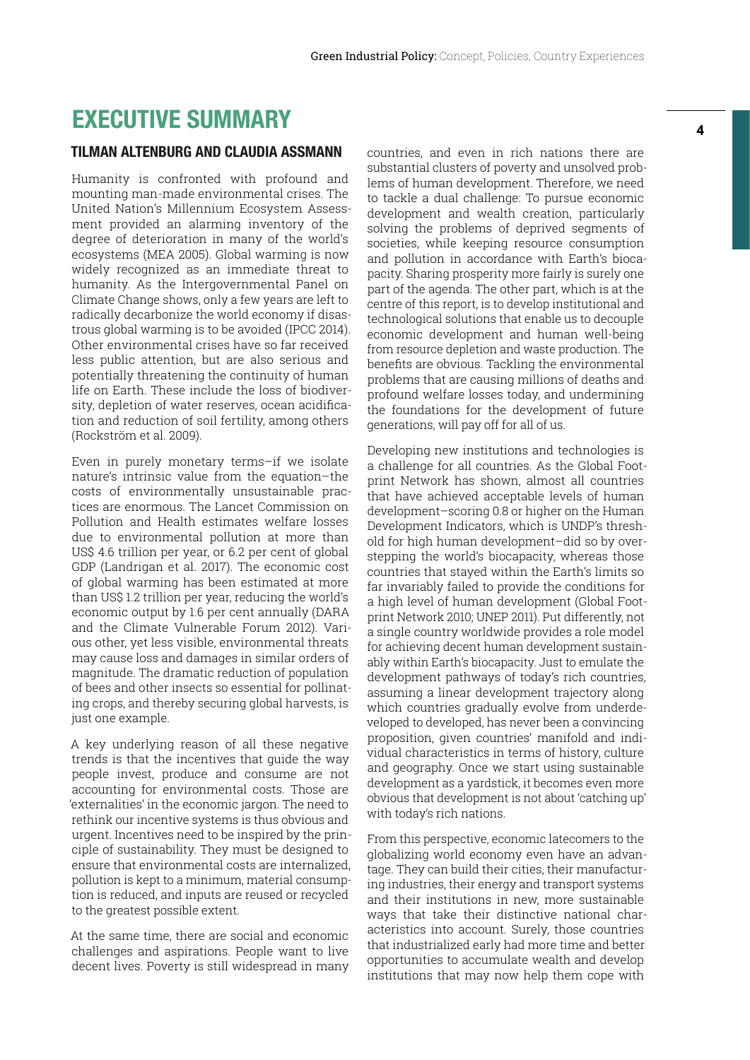### EXECUTIVE SUMMARY

#### TILMAN ALTENBURG AND CLAUDIA ASSMANN

Humanity is confronted with profound and mounting man-made environmental crises. The United Nation's Millennium Ecosystem Assessment provided an alarming inventory of the degree of deterioration in many of the world's ecosystems (MEA 2005). Global warming is now widely recognized as an immediate threat to humanity. As the Intergovernmental Panel on Climate Change shows, only a few years are left to radically decarbonize the world economy if disastrous global warming is to be avoided (IPCC 2014). Other environmental crises have so far received less public attention, but are also serious and potentially threatening the continuity of human life on Earth. These include the loss of biodiversity, depletion of water reserves, ocean acidification and reduction of soil fertility, among others (Rockström et al. 2009).

Even in purely monetary terms–if we isolate nature's intrinsic value from the equation–the costs of environmentally unsustainable practices are enormous. The Lancet Commission on Pollution and Health estimates welfare losses due to environmental pollution at more than US\$ 4.6 trillion per year, or 6.2 per cent of global GDP (Landrigan et al. 2017). The economic cost of global warming has been estimated at more than US\$ 1.2 trillion per year, reducing the world's economic output by 1.6 per cent annually (DARA and the Climate Vulnerable Forum 2012). Various other, yet less visible, environmental threats may cause loss and damages in similar orders of magnitude. The dramatic reduction of population of bees and other insects so essential for pollinating crops, and thereby securing global harvests, is just one example.

A key underlying reason of all these negative trends is that the incentives that guide the way people invest, produce and consume are not accounting for environmental costs. Those are 'externalities' in the economic jargon. The need to rethink our incentive systems is thus obvious and urgent. Incentives need to be inspired by the principle of sustainability. They must be designed to ensure that environmental costs are internalized, pollution is kept to a minimum, material consumption is reduced, and inputs are reused or recycled to the greatest possible extent.

At the same time, there are social and economic challenges and aspirations. People want to live decent lives. Poverty is still widespread in many countries, and even in rich nations there are substantial clusters of poverty and unsolved problems of human development. Therefore, we need to tackle a dual challenge: To pursue economic development and wealth creation, particularly solving the problems of deprived segments of societies, while keeping resource consumption and pollution in accordance with Earth's biocapacity. Sharing prosperity more fairly is surely one part of the agenda. The other part, which is at the centre of this report, is to develop institutional and technological solutions that enable us to decouple economic development and human well-being from resource depletion and waste production. The benefits are obvious. Tackling the environmental problems that are causing millions of deaths and profound welfare losses today, and undermining the foundations for the development of future generations, will pay off for all of us.

Developing new institutions and technologies is a challenge for all countries. As the Global Footprint Network has shown, almost all countries that have achieved acceptable levels of human development–scoring 0.8 or higher on the Human Development Indicators, which is UNDP's threshold for high human development–did so by overstepping the world's biocapacity, whereas those countries that stayed within the Earth's limits so far invariably failed to provide the conditions for a high level of human development (Global Footprint Network 2010; UNEP 2011). Put differently, not a single country worldwide provides a role model for achieving decent human development sustainably within Earth's biocapacity. Just to emulate the development pathways of today's rich countries, assuming a linear development trajectory along which countries gradually evolve from underdeveloped to developed, has never been a convincing proposition, given countries' manifold and individual characteristics in terms of history, culture and geography. Once we start using sustainable development as a yardstick, it becomes even more obvious that development is not about 'catching up' with today's rich nations.

From this perspective, economic latecomers to the globalizing world economy even have an advantage. They can build their cities, their manufacturing industries, their energy and transport systems and their institutions in new, more sustainable ways that take their distinctive national characteristics into account. Surely, those countries that industrialized early had more time and better opportunities to accumulate wealth and develop institutions that may now help them cope with

**4**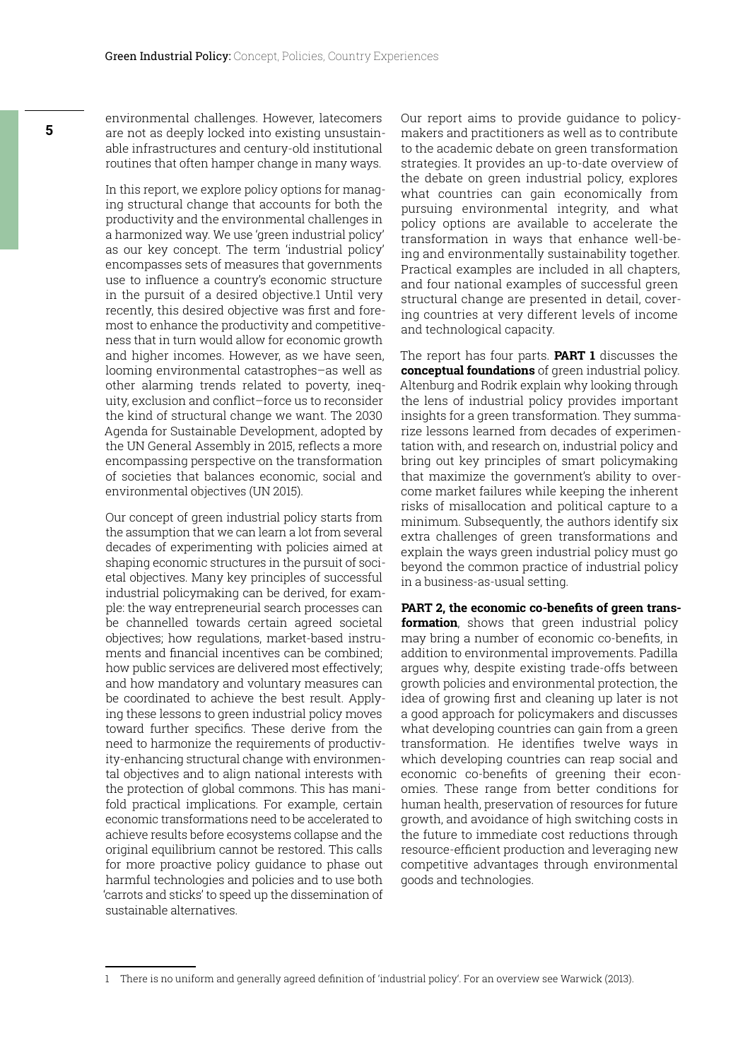environmental challenges. However, latecomers are not as deeply locked into existing unsustainable infrastructures and century-old institutional routines that often hamper change in many ways.

In this report, we explore policy options for managing structural change that accounts for both the productivity and the environmental challenges in a harmonized way. We use 'green industrial policy' as our key concept. The term 'industrial policy' encompasses sets of measures that governments use to influence a country's economic structure in the pursuit of a desired objective.1 Until very recently, this desired objective was first and foremost to enhance the productivity and competitiveness that in turn would allow for economic growth and higher incomes. However, as we have seen, looming environmental catastrophes–as well as other alarming trends related to poverty, inequity, exclusion and conflict–force us to reconsider the kind of structural change we want. The 2030 Agenda for Sustainable Development, adopted by the UN General Assembly in 2015, reflects a more encompassing perspective on the transformation of societies that balances economic, social and environmental objectives (UN 2015).

Our concept of green industrial policy starts from the assumption that we can learn a lot from several decades of experimenting with policies aimed at shaping economic structures in the pursuit of societal objectives. Many key principles of successful industrial policymaking can be derived, for example: the way entrepreneurial search processes can be channelled towards certain agreed societal objectives; how regulations, market-based instruments and financial incentives can be combined; how public services are delivered most effectively; and how mandatory and voluntary measures can be coordinated to achieve the best result. Applying these lessons to green industrial policy moves toward further specifics. These derive from the need to harmonize the requirements of productivity-enhancing structural change with environmental objectives and to align national interests with the protection of global commons. This has manifold practical implications. For example, certain economic transformations need to be accelerated to achieve results before ecosystems collapse and the original equilibrium cannot be restored. This calls for more proactive policy guidance to phase out harmful technologies and policies and to use both 'carrots and sticks' to speed up the dissemination of sustainable alternatives.

Our report aims to provide guidance to policymakers and practitioners as well as to contribute to the academic debate on green transformation strategies. It provides an up-to-date overview of the debate on green industrial policy, explores what countries can gain economically from pursuing environmental integrity, and what policy options are available to accelerate the transformation in ways that enhance well-being and environmentally sustainability together. Practical examples are included in all chapters, and four national examples of successful green structural change are presented in detail, covering countries at very different levels of income and technological capacity.

The report has four parts. **PART 1** discusses the **conceptual foundations** of green industrial policy. Altenburg and Rodrik explain why looking through the lens of industrial policy provides important insights for a green transformation. They summarize lessons learned from decades of experimentation with, and research on, industrial policy and bring out key principles of smart policymaking that maximize the government's ability to overcome market failures while keeping the inherent risks of misallocation and political capture to a minimum. Subsequently, the authors identify six extra challenges of green transformations and explain the ways green industrial policy must go beyond the common practice of industrial policy in a business-as-usual setting.

**PART 2, the economic co-benefits of green transformation**, shows that green industrial policy may bring a number of economic co-benefits, in addition to environmental improvements. Padilla argues why, despite existing trade-offs between growth policies and environmental protection, the idea of growing first and cleaning up later is not a good approach for policymakers and discusses what developing countries can gain from a green transformation. He identifies twelve ways in which developing countries can reap social and economic co-benefits of greening their economies. These range from better conditions for human health, preservation of resources for future growth, and avoidance of high switching costs in the future to immediate cost reductions through resource-efficient production and leveraging new competitive advantages through environmental goods and technologies.

<sup>1</sup> There is no uniform and generally agreed definition of 'industrial policy'. For an overview see Warwick (2013).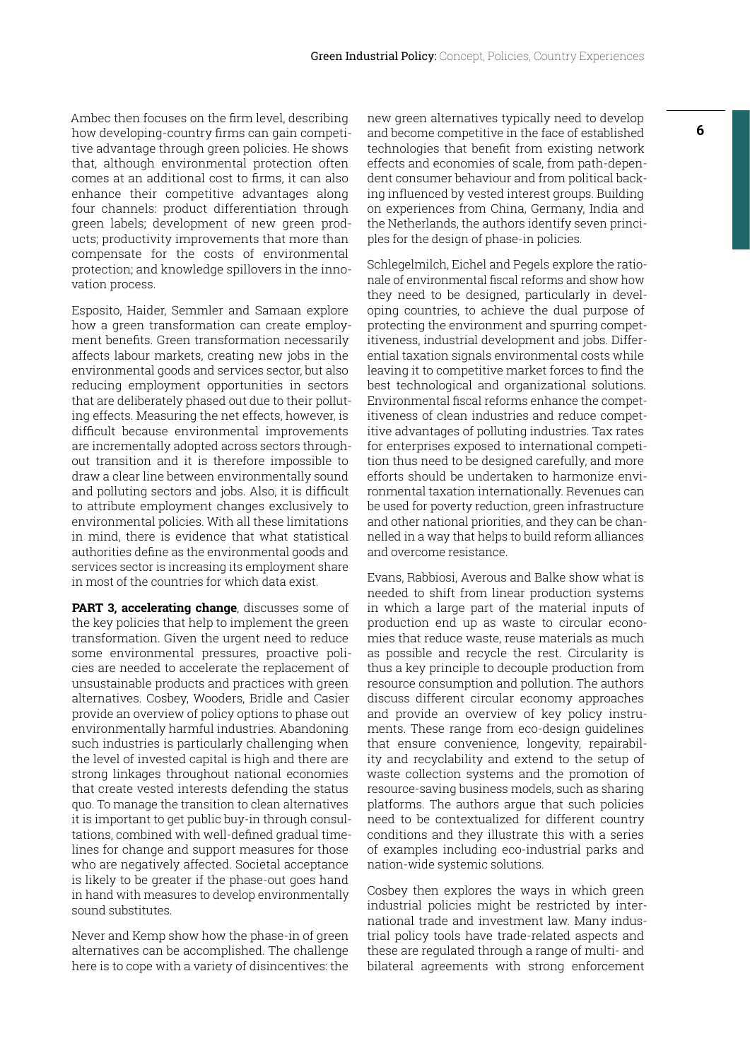Ambec then focuses on the firm level, describing how developing-country firms can gain competitive advantage through green policies. He shows that, although environmental protection often comes at an additional cost to firms, it can also enhance their competitive advantages along four channels: product differentiation through green labels; development of new green products; productivity improvements that more than compensate for the costs of environmental protection; and knowledge spillovers in the innovation process.

Esposito, Haider, Semmler and Samaan explore how a green transformation can create employment benefits. Green transformation necessarily affects labour markets, creating new jobs in the environmental goods and services sector, but also reducing employment opportunities in sectors that are deliberately phased out due to their polluting effects. Measuring the net effects, however, is difficult because environmental improvements are incrementally adopted across sectors throughout transition and it is therefore impossible to draw a clear line between environmentally sound and polluting sectors and jobs. Also, it is difficult to attribute employment changes exclusively to environmental policies. With all these limitations in mind, there is evidence that what statistical authorities define as the environmental goods and services sector is increasing its employment share in most of the countries for which data exist.

**PART 3, accelerating change**, discusses some of the key policies that help to implement the green transformation. Given the urgent need to reduce some environmental pressures, proactive policies are needed to accelerate the replacement of unsustainable products and practices with green alternatives. Cosbey, Wooders, Bridle and Casier provide an overview of policy options to phase out environmentally harmful industries. Abandoning such industries is particularly challenging when the level of invested capital is high and there are strong linkages throughout national economies that create vested interests defending the status quo. To manage the transition to clean alternatives it is important to get public buy-in through consultations, combined with well-defined gradual timelines for change and support measures for those who are negatively affected. Societal acceptance is likely to be greater if the phase-out goes hand in hand with measures to develop environmentally sound substitutes.

Never and Kemp show how the phase-in of green alternatives can be accomplished. The challenge here is to cope with a variety of disincentives: the new green alternatives typically need to develop and become competitive in the face of established technologies that benefit from existing network effects and economies of scale, from path-dependent consumer behaviour and from political backing influenced by vested interest groups. Building on experiences from China, Germany, India and the Netherlands, the authors identify seven principles for the design of phase-in policies.

Schlegelmilch, Eichel and Pegels explore the rationale of environmental fiscal reforms and show how they need to be designed, particularly in developing countries, to achieve the dual purpose of protecting the environment and spurring competitiveness, industrial development and jobs. Differential taxation signals environmental costs while leaving it to competitive market forces to find the best technological and organizational solutions. Environmental fiscal reforms enhance the competitiveness of clean industries and reduce competitive advantages of polluting industries. Tax rates for enterprises exposed to international competition thus need to be designed carefully, and more efforts should be undertaken to harmonize environmental taxation internationally. Revenues can be used for poverty reduction, green infrastructure and other national priorities, and they can be channelled in a way that helps to build reform alliances and overcome resistance.

Evans, Rabbiosi, Averous and Balke show what is needed to shift from linear production systems in which a large part of the material inputs of production end up as waste to circular economies that reduce waste, reuse materials as much as possible and recycle the rest. Circularity is thus a key principle to decouple production from resource consumption and pollution. The authors discuss different circular economy approaches and provide an overview of key policy instruments. These range from eco-design guidelines that ensure convenience, longevity, repairability and recyclability and extend to the setup of waste collection systems and the promotion of resource-saving business models, such as sharing platforms. The authors argue that such policies need to be contextualized for different country conditions and they illustrate this with a series of examples including eco-industrial parks and nation-wide systemic solutions.

Cosbey then explores the ways in which green industrial policies might be restricted by international trade and investment law. Many industrial policy tools have trade-related aspects and these are regulated through a range of multi- and bilateral agreements with strong enforcement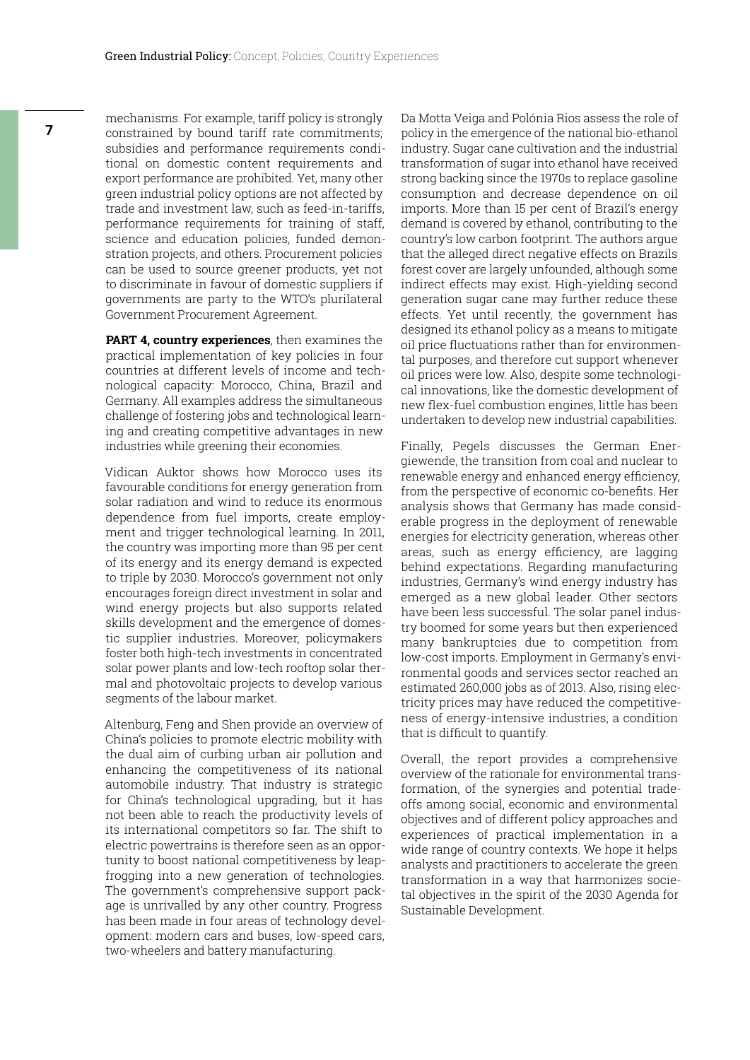mechanisms. For example, tariff policy is strongly constrained by bound tariff rate commitments; subsidies and performance requirements conditional on domestic content requirements and export performance are prohibited. Yet, many other green industrial policy options are not affected by trade and investment law, such as feed-in-tariffs, performance requirements for training of staff, science and education policies, funded demonstration projects, and others. Procurement policies can be used to source greener products, yet not to discriminate in favour of domestic suppliers if governments are party to the WTO's plurilateral Government Procurement Agreement.

**PART 4, country experiences**, then examines the practical implementation of key policies in four countries at different levels of income and technological capacity: Morocco, China, Brazil and Germany. All examples address the simultaneous challenge of fostering jobs and technological learning and creating competitive advantages in new industries while greening their economies.

Vidican Auktor shows how Morocco uses its favourable conditions for energy generation from solar radiation and wind to reduce its enormous dependence from fuel imports, create employment and trigger technological learning. In 2011, the country was importing more than 95 per cent of its energy and its energy demand is expected to triple by 2030. Morocco's government not only encourages foreign direct investment in solar and wind energy projects but also supports related skills development and the emergence of domestic supplier industries. Moreover, policymakers foster both high-tech investments in concentrated solar power plants and low-tech rooftop solar thermal and photovoltaic projects to develop various segments of the labour market.

Altenburg, Feng and Shen provide an overview of China's policies to promote electric mobility with the dual aim of curbing urban air pollution and enhancing the competitiveness of its national automobile industry. That industry is strategic for China's technological upgrading, but it has not been able to reach the productivity levels of its international competitors so far. The shift to electric powertrains is therefore seen as an opportunity to boost national competitiveness by leapfrogging into a new generation of technologies. The government's comprehensive support package is unrivalled by any other country. Progress has been made in four areas of technology development: modern cars and buses, low-speed cars, two-wheelers and battery manufacturing.

Da Motta Veiga and Polónia Rios assess the role of policy in the emergence of the national bio-ethanol industry. Sugar cane cultivation and the industrial transformation of sugar into ethanol have received strong backing since the 1970s to replace gasoline consumption and decrease dependence on oil imports. More than 15 per cent of Brazil's energy demand is covered by ethanol, contributing to the country's low carbon footprint. The authors argue that the alleged direct negative effects on Brazils forest cover are largely unfounded, although some indirect effects may exist. High-yielding second generation sugar cane may further reduce these effects. Yet until recently, the government has designed its ethanol policy as a means to mitigate oil price fluctuations rather than for environmental purposes, and therefore cut support whenever oil prices were low. Also, despite some technological innovations, like the domestic development of new flex-fuel combustion engines, little has been undertaken to develop new industrial capabilities.

Finally, Pegels discusses the German Energiewende, the transition from coal and nuclear to renewable energy and enhanced energy efficiency, from the perspective of economic co-benefits. Her analysis shows that Germany has made considerable progress in the deployment of renewable energies for electricity generation, whereas other areas, such as energy efficiency, are lagging behind expectations. Regarding manufacturing industries, Germany's wind energy industry has emerged as a new global leader. Other sectors have been less successful. The solar panel industry boomed for some years but then experienced many bankruptcies due to competition from low-cost imports. Employment in Germany's environmental goods and services sector reached an estimated 260,000 jobs as of 2013. Also, rising electricity prices may have reduced the competitiveness of energy-intensive industries, a condition that is difficult to quantify.

Overall, the report provides a comprehensive overview of the rationale for environmental transformation, of the synergies and potential tradeoffs among social, economic and environmental objectives and of different policy approaches and experiences of practical implementation in a wide range of country contexts. We hope it helps analysts and practitioners to accelerate the green transformation in a way that harmonizes societal objectives in the spirit of the 2030 Agenda for Sustainable Development.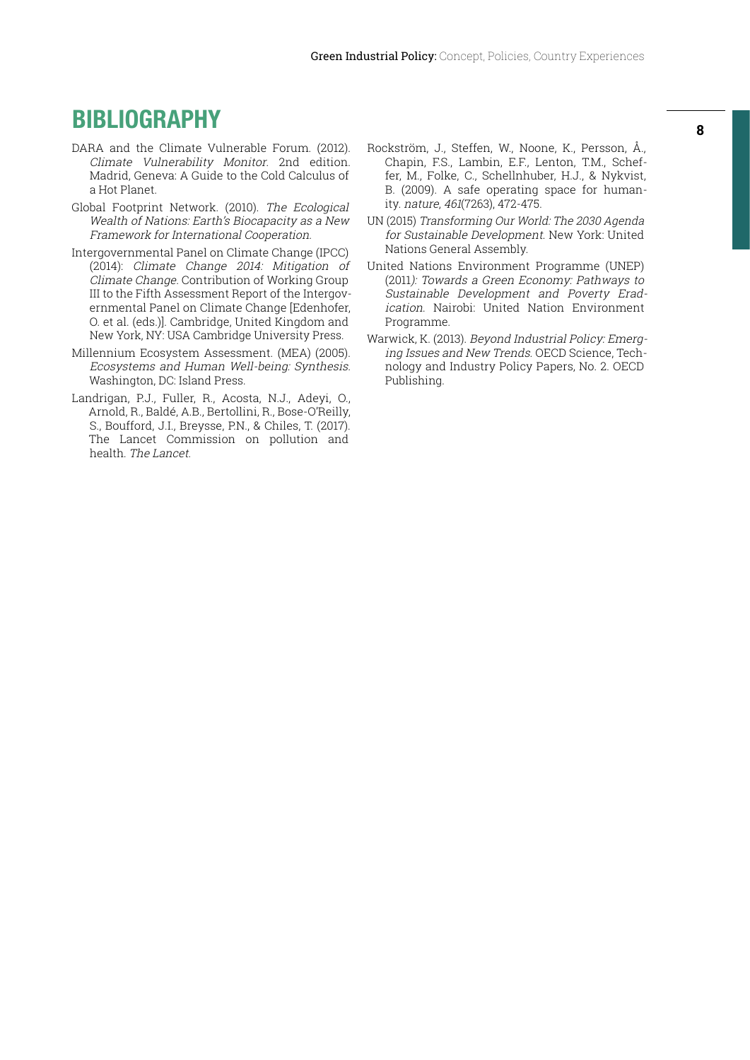### **BIBLIOGRAPHY**

- DARA and the Climate Vulnerable Forum. (2012). Climate Vulnerability Monitor. 2nd edition. Madrid, Geneva: A Guide to the Cold Calculus of a Hot Planet.
- Global Footprint Network. (2010). The Ecological Wealth of Nations: Earth's Biocapacity as a New Framework for International Cooperation.
- Intergovernmental Panel on Climate Change (IPCC) (2014): Climate Change 2014: Mitigation of Climate Change. Contribution of Working Group III to the Fifth Assessment Report of the Intergovernmental Panel on Climate Change [Edenhofer, O. et al. (eds.)]. Cambridge, United Kingdom and New York, NY: USA Cambridge University Press.
- Millennium Ecosystem Assessment. (MEA) (2005). Ecosystems and Human Well-being: Synthesis. Washington, DC: Island Press.
- Landrigan, P.J., Fuller, R., Acosta, N.J., Adeyi, O., Arnold, R., Baldé, A.B., Bertollini, R., Bose-O'Reilly, S., Boufford, J.I., Breysse, P.N., & Chiles, T. (2017). The Lancet Commission on pollution and health. The Lancet.
- Rockström, J., Steffen, W., Noone, K., Persson, Å., Chapin, F.S., Lambin, E.F., Lenton, T.M., Scheffer, M., Folke, C., Schellnhuber, H.J., & Nykvist, B. (2009). A safe operating space for humanity. nature, 461(7263), 472-475.
- UN (2015) Transforming Our World: The 2030 Agenda for Sustainable Development. New York: United Nations General Assembly.
- United Nations Environment Programme (UNEP) (2011): Towards a Green Economy: Pathways to Sustainable Development and Poverty Eradication. Nairobi: United Nation Environment Programme.
- Warwick, K. (2013). Beyond Industrial Policy: Emerging Issues and New Trends. OECD Science, Technology and Industry Policy Papers, No. 2. OECD Publishing.